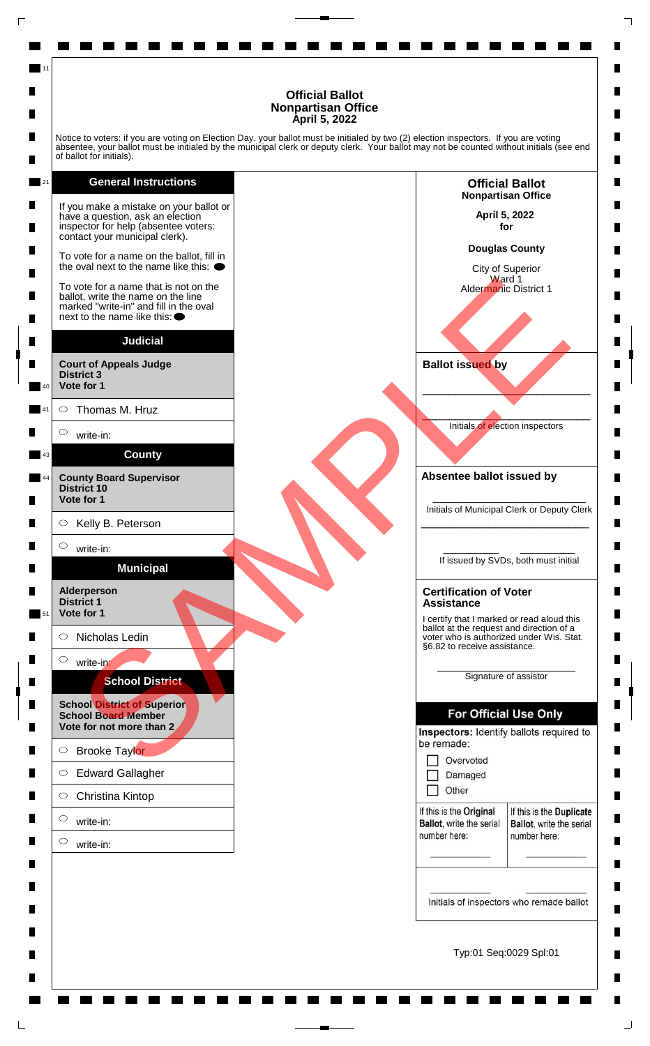Notice to voters: if you are voting on Election Day, your ballot must be initialed by two (2) election inspectors. If you are voting absentee, your ballot must be initialed by the municipal clerk or deputy clerk. Your ballot may not be counted without initials (see end of ballot for initials).

### **General Instructions**

11





п

П

 $\blacksquare$ 

П

п

П

П

п

п

П

 $\blacksquare$ 

 $\blacksquare$ 

п

ш

П

 $\blacksquare$ 

П

 $\blacksquare$ 

п

 $\blacksquare$ 

 $\blacksquare$ 

 $\blacksquare$ 

П

П

 $\blacksquare$ 

П

П

П

 $\blacksquare$ 

П

П

 $\blacksquare$ 

П

Typ:01 Seq:0029 Spl:01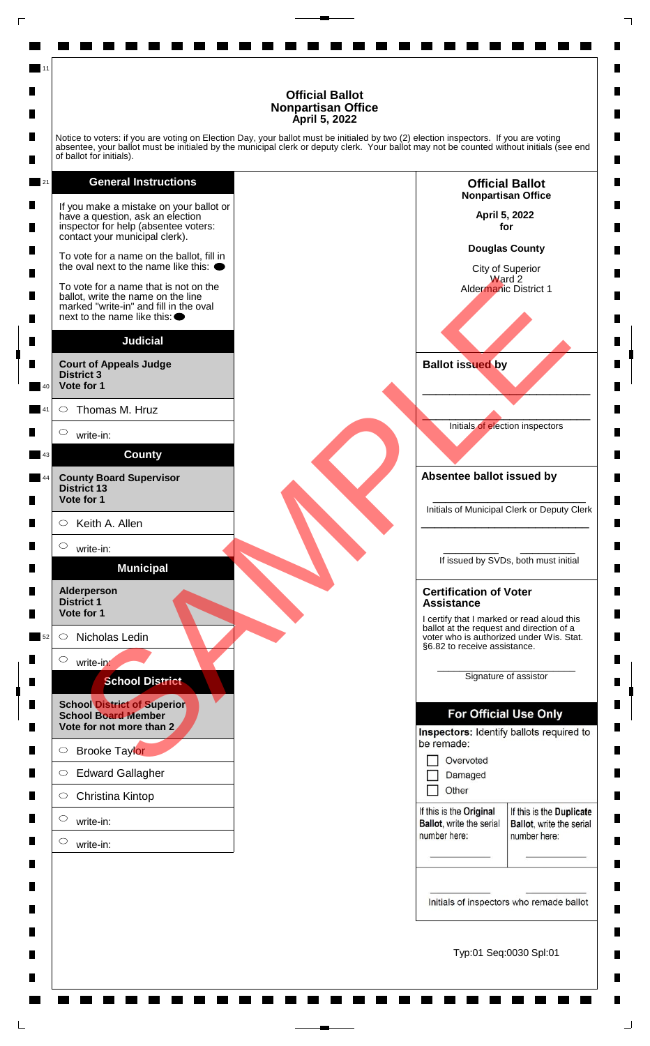Notice to voters: if you are voting on Election Day, your ballot must be initialed by two (2) election inspectors. If you are voting absentee, your ballot must be initialed by the municipal clerk or deputy clerk. Your ballot may not be counted without initials (see end of ballot for initials).

### **General Instructions**

11

21



Typ:01 Seq:0030 Spl:01

п

П

 $\blacksquare$ 

П

п

П

П

п

п

П

 $\blacksquare$ 

 $\blacksquare$ 

п

П

ш

П

 $\blacksquare$ 

П

 $\blacksquare$ 

п

 $\blacksquare$ 

 $\blacksquare$ 

 $\blacksquare$ 

П

П

 $\blacksquare$ 

П

П

П

 $\blacksquare$ 

П

П

 $\blacksquare$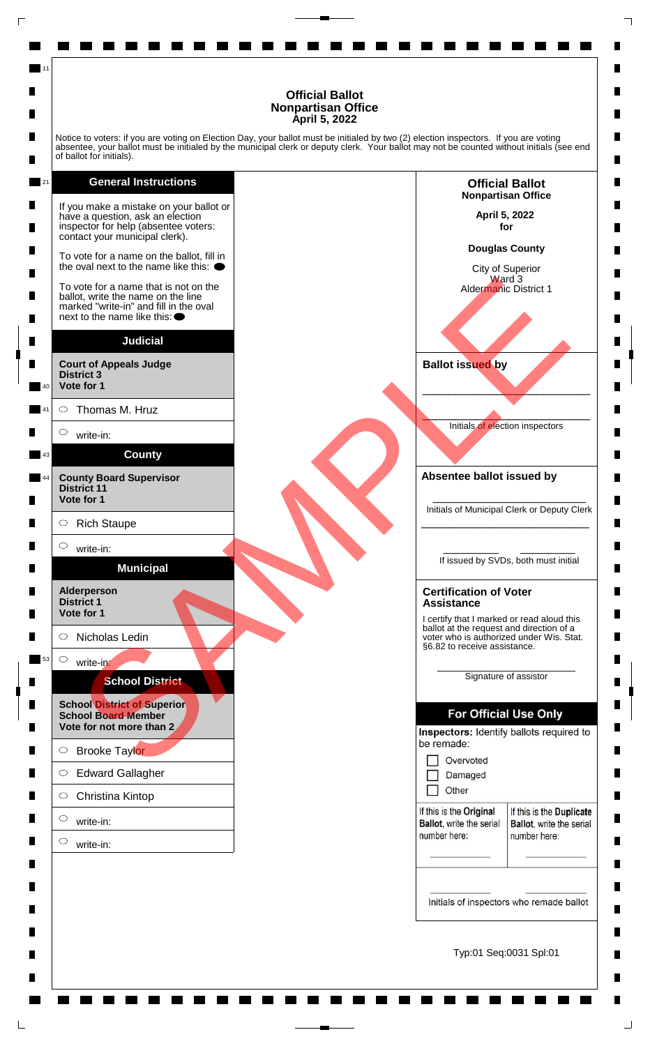п

П

 $\blacksquare$ 

П

п

П

П

п

п

П

 $\blacksquare$ 

 $\blacksquare$ 

п

ш

П

 $\blacksquare$ 

П

 $\blacksquare$ 

п

 $\blacksquare$ 

 $\blacksquare$ 

 $\blacksquare$ 

П

П

 $\blacksquare$ 

П

П

П

 $\blacksquare$ 

П

П

 $\blacksquare$ 

П

Notice to voters: if you are voting on Election Day, your ballot must be initialed by two (2) election inspectors. If you are voting absentee, your ballot must be initialed by the municipal clerk or deputy clerk. Your ballot may not be counted without initials (see end of ballot for initials).

### **General Instructions**

11

21

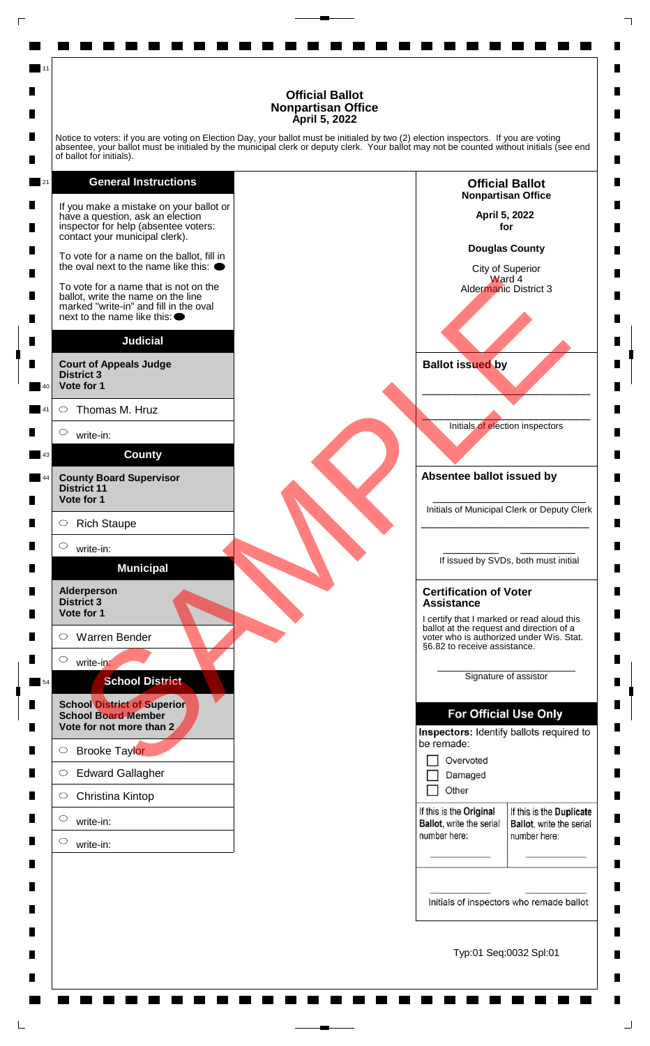Notice to voters: if you are voting on Election Day, your ballot must be initialed by two (2) election inspectors. If you are voting absentee, your ballot must be initialed by the municipal clerk or deputy clerk. Your ballot may not be counted without initials (see end of ballot for initials).

### **General Instructions**

11

21

![](_page_3_Figure_3.jpeg)

Typ:01 Seq:0032 Spl:01

п

П

 $\blacksquare$ 

П

П

П

П

п

п

П

 $\blacksquare$ 

 $\blacksquare$ 

п

ш

П

 $\blacksquare$ 

П

 $\blacksquare$ 

п

 $\blacksquare$ 

 $\blacksquare$ 

 $\blacksquare$ 

П

П

 $\blacksquare$ 

П

П

П

 $\blacksquare$ 

П

П

 $\blacksquare$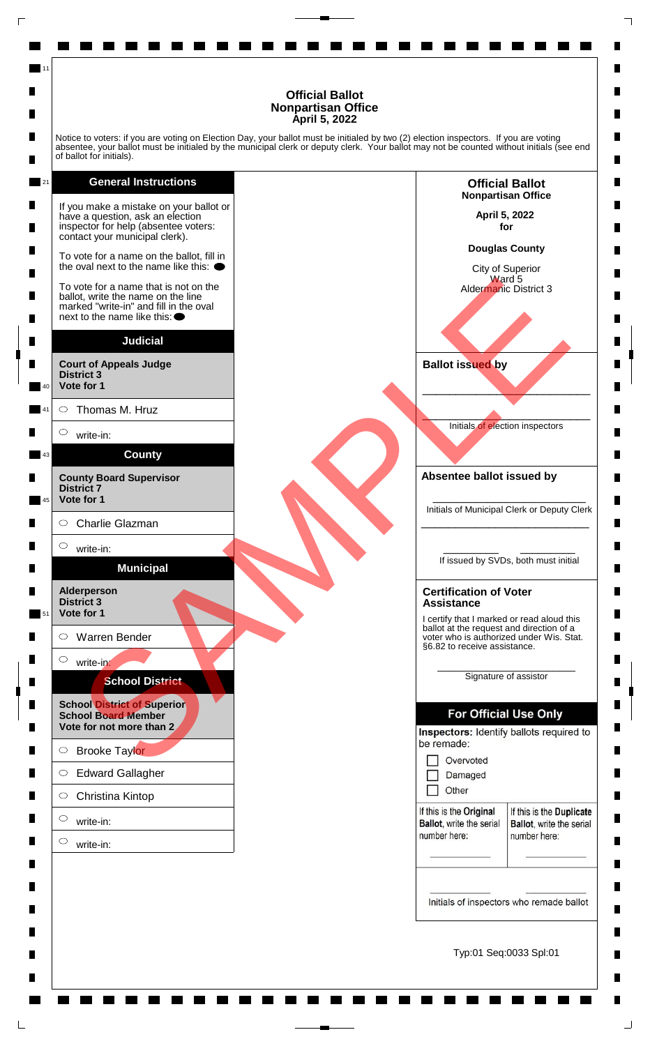Notice to voters: if you are voting on Election Day, your ballot must be initialed by two (2) election inspectors. If you are voting absentee, your ballot must be initialed by the municipal clerk or deputy clerk. Your ballot may not be counted without initials (see end of ballot for initials).

### **General Instructions**

11

21

![](_page_4_Figure_3.jpeg)

Typ:01 Seq:0033 Spl:01

п

П

 $\blacksquare$ 

П

П

П

П

п

п

П

 $\blacksquare$ 

 $\blacksquare$ 

п

ш

П

 $\blacksquare$ 

П

 $\blacksquare$ 

п

 $\blacksquare$ 

 $\blacksquare$ 

 $\blacksquare$ 

П

П

 $\blacksquare$ 

П

П

П

 $\blacksquare$ 

П

П

 $\blacksquare$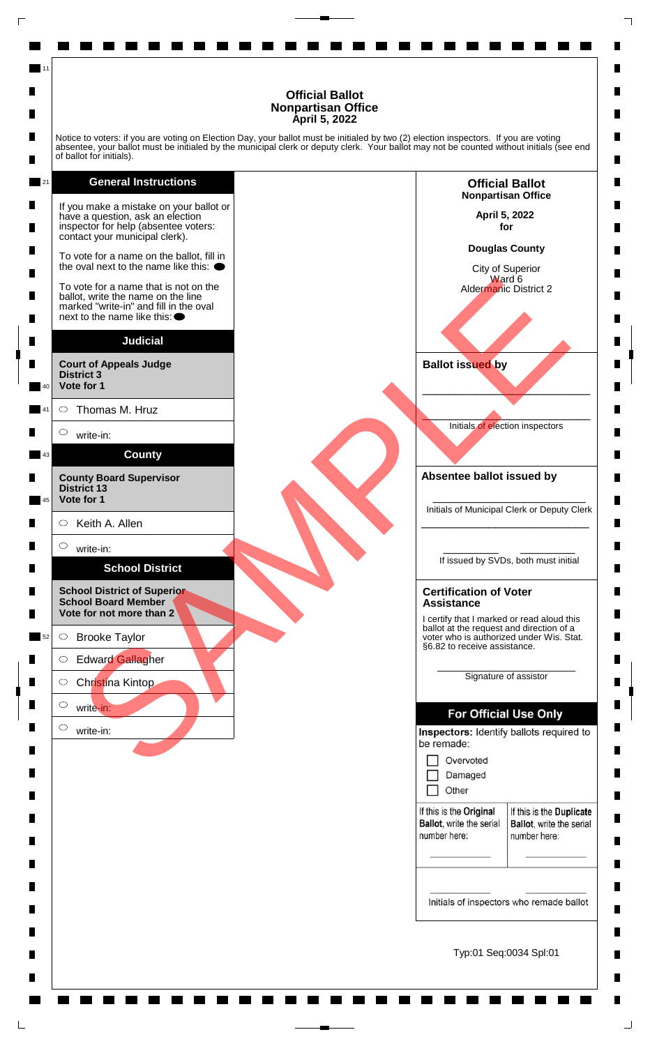Notice to voters: if you are voting on Election Day, your ballot must be initialed by two (2) election inspectors. If you are voting absentee, your ballot must be initialed by the municipal clerk or deputy clerk. Your ballot may not be counted without initials (see end of ballot for initials).

**General Instructions** 21 If you make a mistake on your ballot or have a question, ask an election inspector for help (absentee voters: contact your municipal clerk). To vote for a name on the ballot, fill in the oval next to the name like this:  $\bullet$ vole for a name on the line note of the name of the line of the same of the line of the same of the line of the<br>tax wite the name of the line of the same<br>interest and fill in the oval<br>strict 3 Thomas M. Hruz<br>write-in:<br>SCRO To vote for a name that is not on the ballot, write the name on the line marked "write-in" and fill in the oval next to the name like this: **Judicial Court of Appeals Judge District 3 Vote for 1** 40  $\circ$ Thomas M. Hruz 41  $\circ$ write-in: **County** 43 **County Board Supervisor District 13 Vote for 1** 45 Keith A. Allen  $\circ$  $\circ$ write-in: **School District School District of Superior School Board Member Vote for not more than 2**

11

 $\bigcirc$ Brooke Taylor 52

 $\circ$ Edward Gallagher

 $\circ$ Christina Kintop

 $\circ$ write-in:

> $\circ$ write-in:

**April 5, 2022 for Douglas County** City of Superior Ward 6 Aldermanic District 2

**Official Ballot Nonpartisan Office** п

П

 $\blacksquare$ 

П

П

П

П

п

п

П

 $\blacksquare$ 

 $\blacksquare$ 

П

П

ш

П

 $\blacksquare$ 

П

 $\blacksquare$ 

п

 $\blacksquare$ 

 $\blacksquare$ 

 $\blacksquare$ 

П

П

 $\blacksquare$ 

П

П

 $\blacksquare$ 

 $\blacksquare$ 

 $\blacksquare$ 

П

 $\blacksquare$ 

П

**Ballot issued by**

 $\mathcal{L}$  and  $\mathcal{L}$  and  $\mathcal{L}$  and  $\mathcal{L}$ Initials of election inspectors

\_\_\_\_\_\_\_\_\_\_\_\_\_\_\_\_\_\_\_\_\_\_\_\_\_

**Absentee ballot issued by**

\_\_\_\_\_\_\_\_\_\_\_\_\_\_\_\_\_\_\_\_\_\_\_\_\_ Initials of Municipal Clerk or Deputy Clerk \_\_\_\_\_\_\_\_\_\_\_\_\_\_\_\_\_\_\_\_\_\_\_\_\_

\_\_\_\_\_\_\_\_\_ \_\_\_\_\_\_\_\_\_ If issued by SVDs, both must initial

#### **Certification of Voter Assistance**

I certify that I marked or read aloud this ballot at the request and direction of a voter who is authorized under Wis. Stat. §6.82 to receive assistance.

> \_\_\_\_\_\_\_\_\_\_\_\_\_\_\_\_\_\_\_\_\_\_\_\_\_ Signature of assistor

| Overvoted |  |
|-----------|--|
|           |  |

П Other

If this is the Original Ballot, write the serial number here:

If this is the Duplicate **Ballot**, write the serial number here:

Initials of inspectors who remade ballot

Typ:01 Seq:0034 Spl:01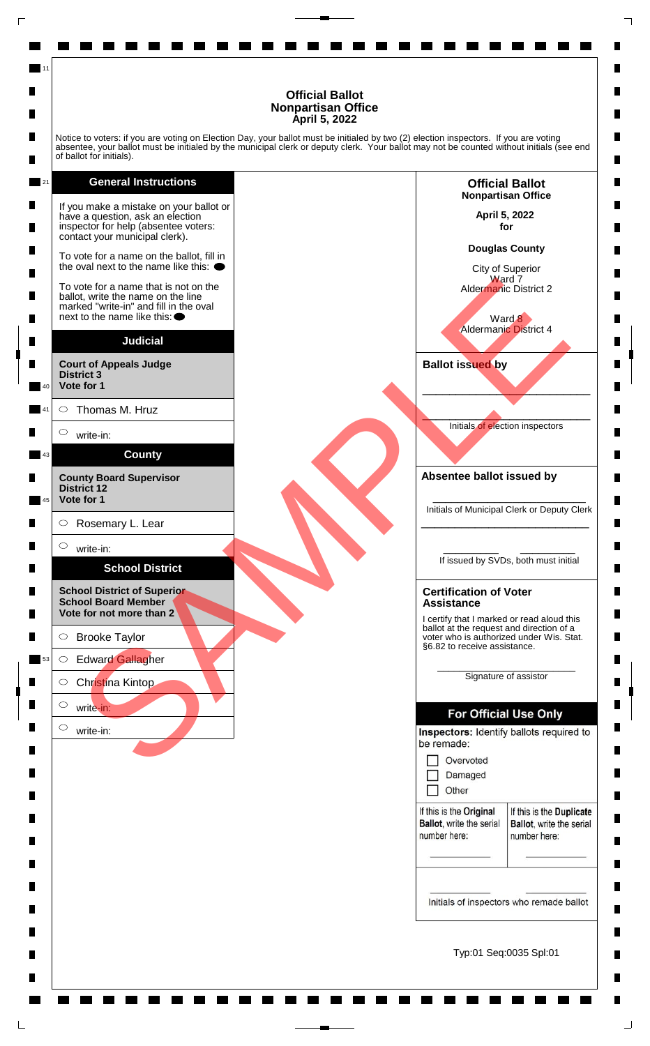Notice to voters: if you are voting on Election Day, your ballot must be initialed by two (2) election inspectors. If you are voting absentee, your ballot must be initialed by the municipal clerk or deputy clerk. Your ballot may not be counted without initials (see end of ballot for initials).

### **General Instructions**

11

21 If you make a mistake on your ballot or have a question, ask an election inspector for help (absentee voters: contact your municipal clerk). To vote for a name on the ballot, fill in the oval next to the name like this:  $\bullet$ vole for a man find in the note of a strained the same of the limit of Aldemand District 2<br>
id, wite the name of the the soul<br>
to the name of the the soul<br>
to the name of Alemand District 2<br>
wite-in:<br>
Water School District To vote for a name that is not on the ballot, write the name on the line marked "write-in" and fill in the oval next to the name like this: **Judicial Court of Appeals Judge District 3 Vote for 1** 40  $\circ$ Thomas M. Hruz 41  $\circ$ write-in: **County** 43 **County Board Supervisor District 12 Vote for 1** 45  $\circ$ Rosemary L. Lear  $\bigcirc$ write-in:

# **School District**

**School District of Superior School Board Member Vote for not more than 2**

 $\bigcirc$ Brooke Taylor

write-in:

 $\circ$ Edward Gallagher 53

> $\circ$ Christina Kintop

 $\circ$ write-in:

 $\circ$ 

**Official Ballot Nonpartisan Office April 5, 2022** 

п

П

 $\blacksquare$ 

П

п

П

П

п

П

 $\blacksquare$ 

 $\blacksquare$ 

 $\blacksquare$ 

п

ш

П

 $\blacksquare$ 

П

 $\blacksquare$ 

п

 $\blacksquare$ 

 $\blacksquare$ 

 $\blacksquare$ 

П

П

 $\blacksquare$ 

П

П

П

 $\blacksquare$ 

П

П

 $\blacksquare$ 

П

**for**

**Douglas County**

City of Superior Ward 7 Aldermanic District 2

Ward 8 Aldermanic District 4

**Ballot issued by**

 $\mathcal{L}$  and  $\mathcal{L}$  and  $\mathcal{L}$  and  $\mathcal{L}$ Initials of election inspectors

\_\_\_\_\_\_\_\_\_\_\_\_\_\_\_\_\_\_\_\_\_\_\_\_\_

**Absentee ballot issued by**

\_\_\_\_\_\_\_\_\_\_\_\_\_\_\_\_\_\_\_\_\_\_\_\_\_ Initials of Municipal Clerk or Deputy Clerk \_\_\_\_\_\_\_\_\_\_\_\_\_\_\_\_\_\_\_\_\_\_\_\_\_

\_\_\_\_\_\_\_\_\_ \_\_\_\_\_\_\_\_\_ If issued by SVDs, both must initial

#### **Certification of Voter Assistance**

I certify that I marked or read aloud this ballot at the request and direction of a voter who is authorized under Wis. Stat. §6.82 to receive assistance.

> \_\_\_\_\_\_\_\_\_\_\_\_\_\_\_\_\_\_\_\_\_\_\_\_\_ Signature of assistor

Other П

If this is the Original Ballot, write the serial number here:

If this is the Duplicate **Ballot**, write the serial number here:

Initials of inspectors who remade ballot

Typ:01 Seq:0035 Spl:01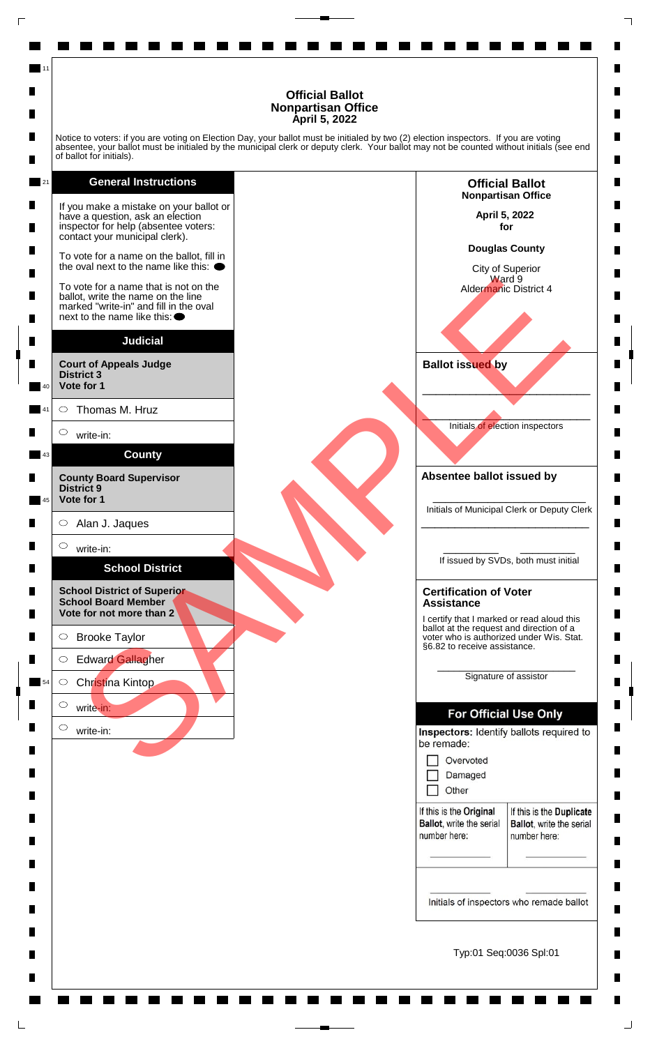Notice to voters: if you are voting on Election Day, your ballot must be initialed by two (2) election inspectors. If you are voting absentee, your ballot must be initialed by the municipal clerk or deputy clerk. Your ballot may not be counted without initials (see end of ballot for initials).

**General Instructions** 21 If you make a mistake on your ballot or have a question, ask an election inspector for help (absentee voters: contact your municipal clerk). To vote for a name on the ballot, fill in the oval next to the name like this:  $\bullet$ vole for a name on the line note of the name of the line of the same of the line of the same of the line of the<br>tax wite the name of the line of the same<br>interest and fill in the oval<br>strict of Alan J. Jaques<br>wite in:<br>SCRO To vote for a name that is not on the ballot, write the name on the line marked "write-in" and fill in the oval next to the name like this: **Judicial Court of Appeals Judge District 3 Vote for 1** 40  $\circ$ Thomas M. Hruz 41  $\circ$ write-in: **County** 43 **County Board Supervisor District 9 Vote for 1** 45  $\circ$ Alan J. Jaques  $\bigcirc$ write-in: **School District School District of Superior School Board Member Vote for not more than 2**

11

 $\circ$ Brooke Taylor

 $\circ$ Edward Gallagher

 $\circ$ Christina Kintop  $\circ$ 

write-in:

write-in:

 $\circ$ 

54

**Official Ballot Nonpartisan Office April 5, 2022 for**

п

П

 $\blacksquare$ 

П

п

П

П

п

п

П

 $\blacksquare$ 

 $\blacksquare$ 

п

П

ш

П

 $\blacksquare$ 

П

 $\blacksquare$ 

п

 $\blacksquare$ 

 $\blacksquare$ 

 $\blacksquare$ 

П

П

 $\blacksquare$ 

П

П

П

 $\blacksquare$ 

П

П

 $\blacksquare$ 

П

**Douglas County**

City of Superior Ward<sup>9</sup> Aldermanic District 4

**Ballot issued by**

 $\mathcal{L}$  and  $\mathcal{L}$  and  $\mathcal{L}$  and  $\mathcal{L}$ Initials of election inspectors

\_\_\_\_\_\_\_\_\_\_\_\_\_\_\_\_\_\_\_\_\_\_\_\_\_

**Absentee ballot issued by**

\_\_\_\_\_\_\_\_\_\_\_\_\_\_\_\_\_\_\_\_\_\_\_\_\_ Initials of Municipal Clerk or Deputy Clerk \_\_\_\_\_\_\_\_\_\_\_\_\_\_\_\_\_\_\_\_\_\_\_\_\_

\_\_\_\_\_\_\_\_\_ \_\_\_\_\_\_\_\_\_ If issued by SVDs, both must initial

#### **Certification of Voter Assistance**

I certify that I marked or read aloud this ballot at the request and direction of a voter who is authorized under Wis. Stat. §6.82 to receive assistance.

> \_\_\_\_\_\_\_\_\_\_\_\_\_\_\_\_\_\_\_\_\_\_\_\_\_ Signature of assistor

Other П

If this is the Original Ballot, write the serial number here:

If this is the Duplicate **Ballot**, write the serial number here:

Initials of inspectors who remade ballot

Typ:01 Seq:0036 Spl:01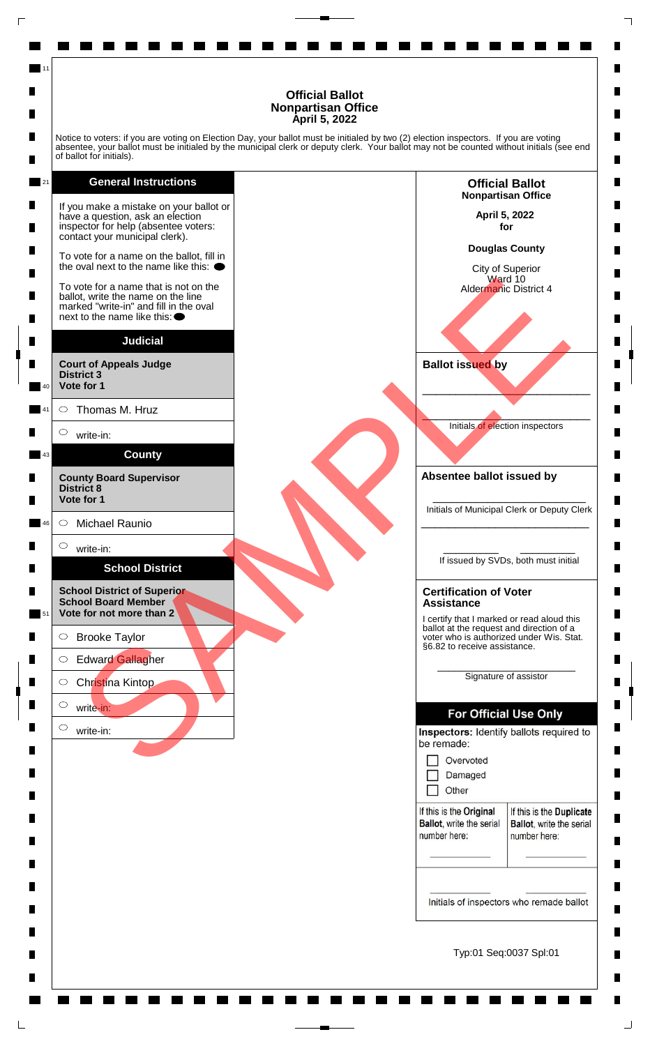Notice to voters: if you are voting on Election Day, your ballot must be initialed by two (2) election inspectors. If you are voting absentee, your ballot must be initialed by the municipal clerk or deputy clerk. Your ballot may not be counted without initials (see end of ballot for initials).

### **General Instructions**

If you make a mistake on your ballot or have a question, ask an election inspector for help (absentee voters: contact your municipal clerk). To vote for a name on the ballot, fill in the oval next to the name like this:  $\bullet$ To vote for a name that is not on the ballot, write the name on the line marked "write-in" and fill in the oval next to the name like this: **Judicial Court of Appeals Judge District 3** vole for a name on the line of a<br>
risk of write-in-<br>and file in the overall in the overall in the cost<br>of the file of the cost of the file of the cost<br>of the file of the cost of AMPLE and the cost of the cost of the cost<br>o

**Vote for 1** 40  $\circ$ Thomas M. Hruz 41

 $\circ$ 

43

11

21

write-in:

**County County Board Supervisor District 8**

**Vote for 1**

 $\circ$ Michael Raunio 46

 $\bigcirc$ write-in:

## **School District**

**School District of Superior School Board Member Vote for not more than 2** 51

 $\bigcirc$ Brooke Taylor

 $\circ$ Edward Gallagher

 $\circ$ Christina Kintop

 $\circ$ 

write-in:

 $\circ$ write-in: **Nonpartisan Office April 5, 2022 for Douglas County**

**Official Ballot**

п

П

 $\blacksquare$ 

П

п

П

П

п

п

П

 $\blacksquare$ 

 $\blacksquare$ 

п

П

ш

П

 $\blacksquare$ 

П

 $\blacksquare$ 

п

 $\blacksquare$ 

 $\blacksquare$ 

 $\blacksquare$ 

П

П

 $\blacksquare$ 

П

П

П

 $\blacksquare$ 

П

П

 $\blacksquare$ 

П

City of Superior Ward 10 Aldermanic District 4

**Ballot issued by**

 $\mathcal{L}$  and  $\mathcal{L}$  and  $\mathcal{L}$  and  $\mathcal{L}$ Initials of election inspectors

\_\_\_\_\_\_\_\_\_\_\_\_\_\_\_\_\_\_\_\_\_\_\_\_\_

**Absentee ballot issued by**

\_\_\_\_\_\_\_\_\_\_\_\_\_\_\_\_\_\_\_\_\_\_\_\_\_ Initials of Municipal Clerk or Deputy Clerk \_\_\_\_\_\_\_\_\_\_\_\_\_\_\_\_\_\_\_\_\_\_\_\_\_

\_\_\_\_\_\_\_\_\_ \_\_\_\_\_\_\_\_\_ If issued by SVDs, both must initial

#### **Certification of Voter Assistance**

I certify that I marked or read aloud this ballot at the request and direction of a voter who is authorized under Wis. Stat. §6.82 to receive assistance.

> \_\_\_\_\_\_\_\_\_\_\_\_\_\_\_\_\_\_\_\_\_\_\_\_\_ Signature of assistor

Other П

If this is the Original Ballot, write the serial number here:

If this is the Duplicate **Ballot**, write the serial number here:

Initials of inspectors who remade ballot

Typ:01 Seq:0037 Spl:01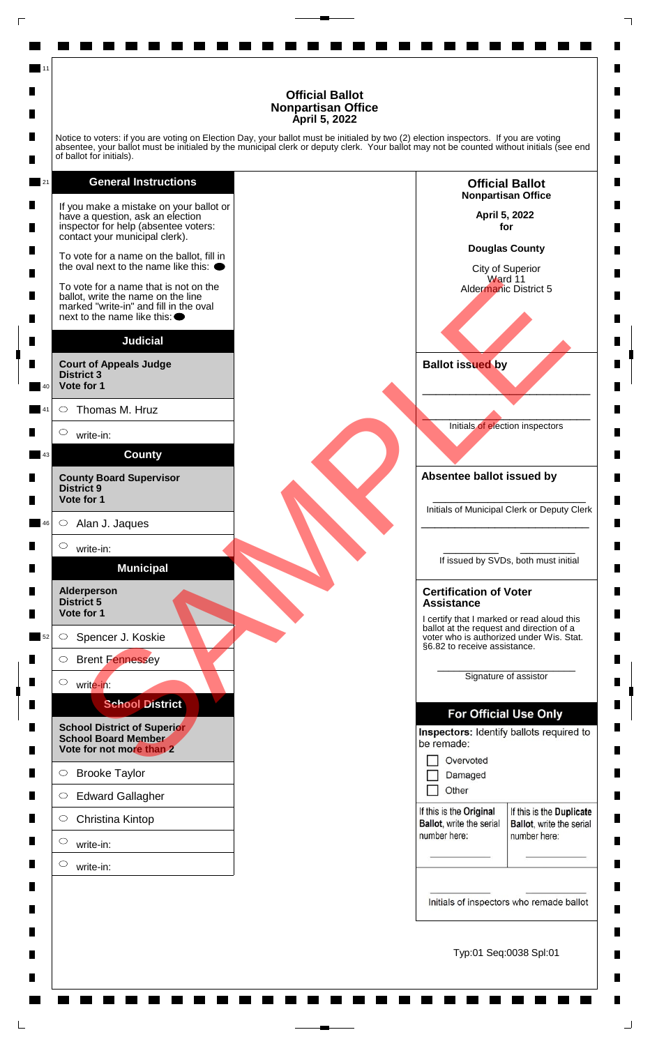п

П

 $\blacksquare$ 

П

п

П

п

п

П

П

п

п

ш

П

 $\blacksquare$ 

П

 $\blacksquare$ 

п

 $\blacksquare$ 

 $\blacksquare$ 

 $\blacksquare$ 

П

П

 $\blacksquare$ 

П

П

П

 $\blacksquare$ 

П

н

 $\blacksquare$ 

П

Notice to voters: if you are voting on Election Day, your ballot must be initialed by two (2) election inspectors. If you are voting absentee, your ballot must be initialed by the municipal clerk or deputy clerk. Your ballot may not be counted without initials (see end of ballot for initials).

### **General Instructions**

11

![](_page_9_Figure_3.jpeg)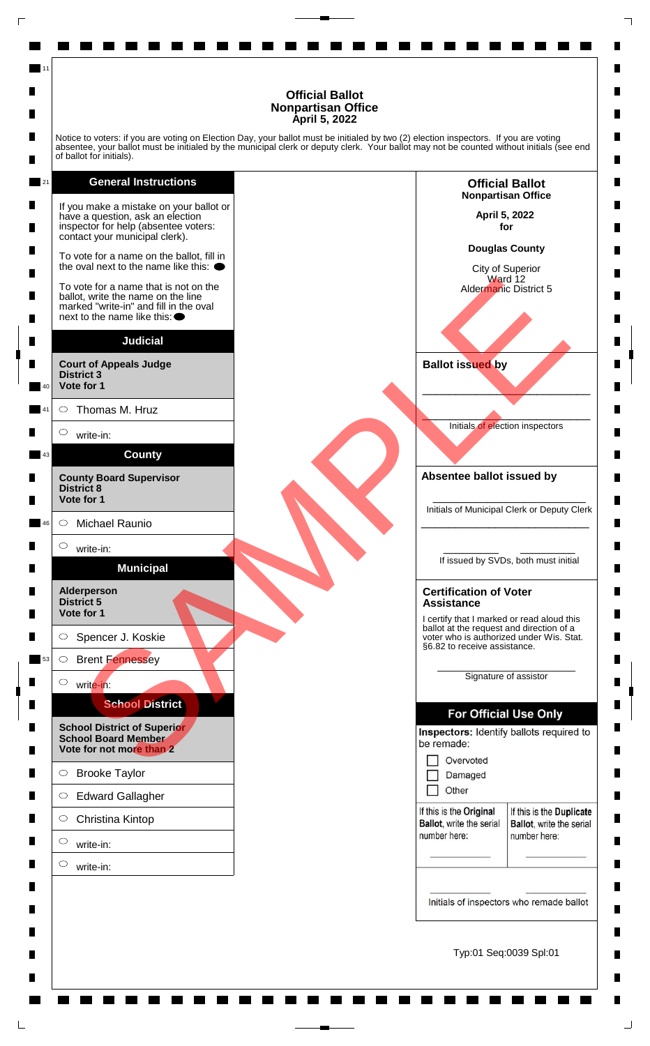Notice to voters: if you are voting on Election Day, your ballot must be initialed by two (2) election inspectors. If you are voting absentee, your ballot must be initialed by the municipal clerk or deputy clerk. Your ballot may not be counted without initials (see end of ballot for initials).

![](_page_10_Figure_2.jpeg)

11

![](_page_10_Figure_3.jpeg)

п

п

 $\blacksquare$ 

П

п

П

п

п

П

П

п

п

ш

П

 $\blacksquare$ 

П

 $\blacksquare$ 

п

 $\blacksquare$ 

 $\blacksquare$ 

 $\blacksquare$ 

П

П

 $\blacksquare$ 

П

П

П

 $\blacksquare$ 

П

н

 $\blacksquare$ 

П

Typ:01 Seq:0039 Spl:01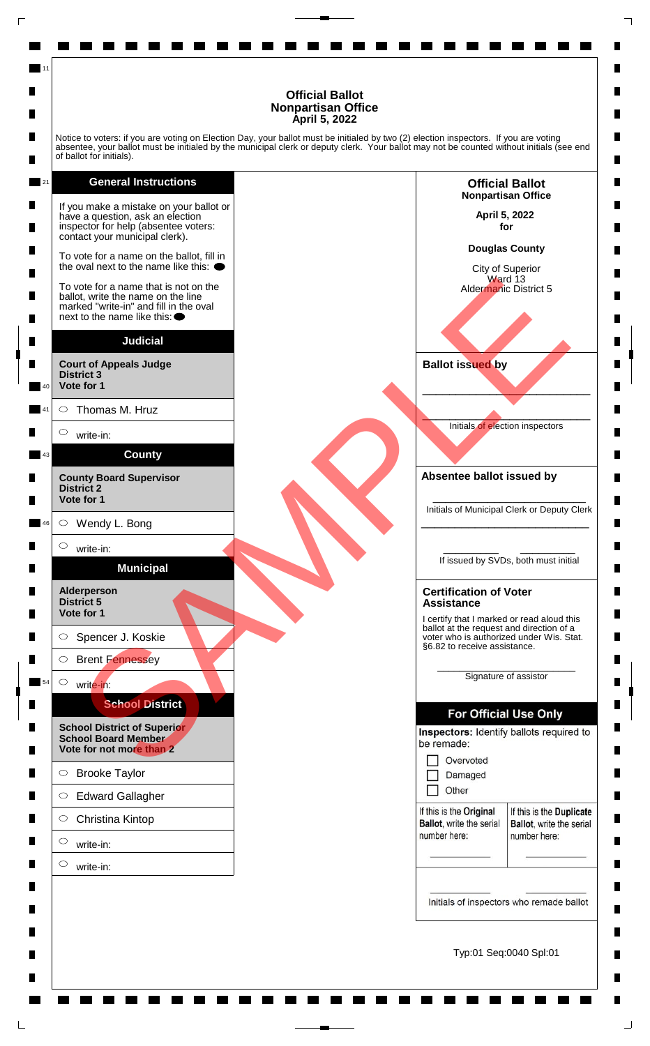Notice to voters: if you are voting on Election Day, your ballot must be initialed by two (2) election inspectors. If you are voting absentee, your ballot must be initialed by the municipal clerk or deputy clerk. Your ballot may not be counted without initials (see end of ballot for initials).

**General Instructions** 21 If you make a mistake on your ballot or have a question, ask an election inspector for help (absentee voters: contact your municipal clerk). To vote for a name on the ballot, fill in the oval next to the name like this:  $\bullet$ vole for a name in the note of the note of the new state of the state of the state of the new order in additional titled to the name in the first of the state of the state of the state of the state of the state of the stat To vote for a name that is not on the ballot, write the name on the line marked "write-in" and fill in the oval next to the name like this: **Judicial Court of Appeals Judge District 3 Vote for 1** 40 Thomas M. Hruz  $\circ$ 41  $\circ$ write-in: **County** 43 **County Board Supervisor District 2 Vote for 1**  $\circ$ Wendy L. Bong 46  $\bigcirc$ write-in: **Municipal Alderperson District 5 Vote for 1**  $\circ$ Spencer J. Koskie  $\circ$ Brent Fennessey  $\circ$ 54 write-in: **School District School District of Superior School Board Member Vote for not more than 2**  $\circ$ Brooke Taylor  $\circ$ Edward Gallagher  $\circ$ Christina Kintop  $\circ$ write-in:  $\circ$ write-in:

11

![](_page_11_Figure_3.jpeg)

п

п

 $\blacksquare$ 

П

п

П

п

п

П

П

п

п

ш

П

 $\blacksquare$ 

П

 $\blacksquare$ 

п

 $\blacksquare$ 

 $\blacksquare$ 

 $\blacksquare$ 

П

П

 $\blacksquare$ 

П

П

П

 $\blacksquare$ 

П

н

 $\blacksquare$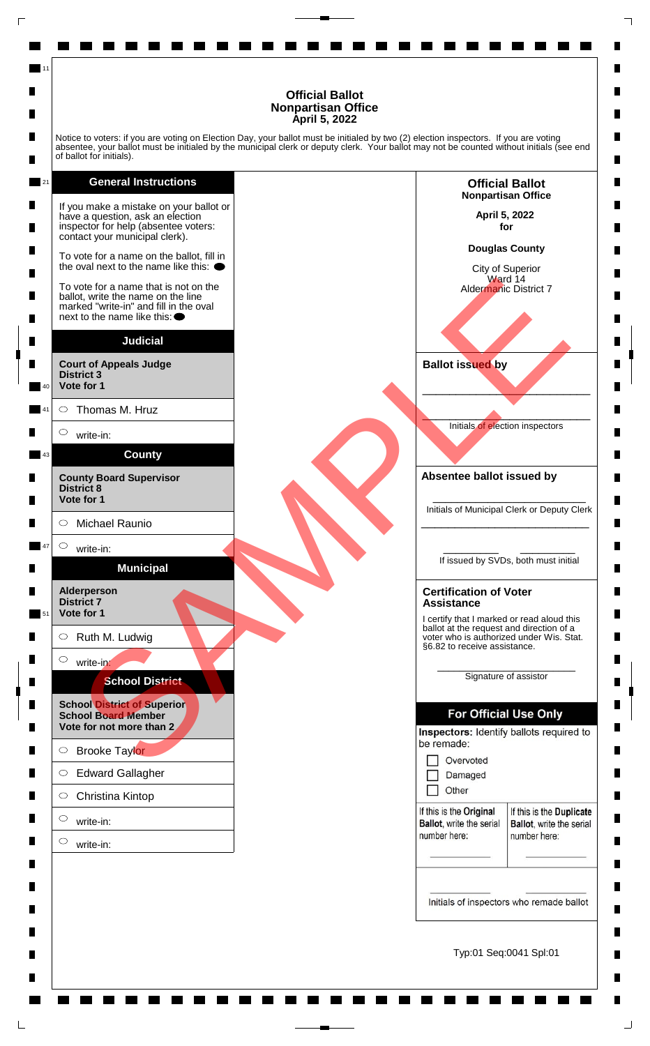Notice to voters: if you are voting on Election Day, your ballot must be initialed by two (2) election inspectors. If you are voting absentee, your ballot must be initialed by the municipal clerk or deputy clerk. Your ballot may not be counted without initials (see end of ballot for initials).

### **General Instructions**

11

21

![](_page_12_Figure_3.jpeg)

Typ:01 Seq:0041 Spl:01

п

П

 $\blacksquare$ 

П

п

П

П

п

п

П

 $\blacksquare$ 

 $\blacksquare$ 

п

ш

П

 $\blacksquare$ 

П

 $\blacksquare$ 

п

 $\blacksquare$ 

 $\blacksquare$ 

 $\blacksquare$ 

П

П

 $\blacksquare$ 

П

П

П

 $\blacksquare$ 

П

П

 $\blacksquare$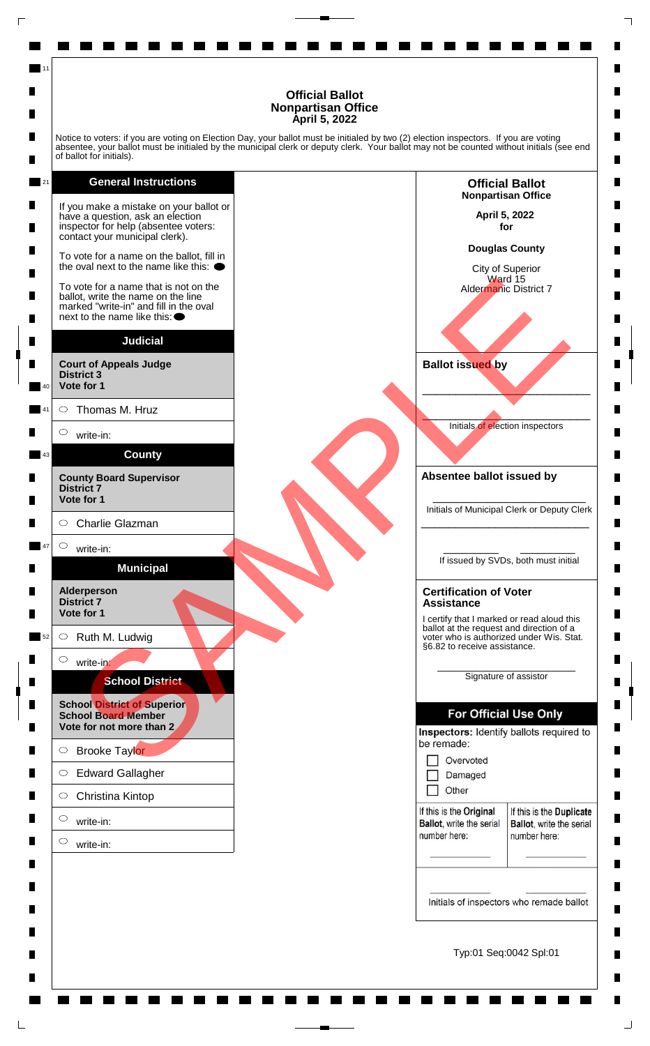Notice to voters: if you are voting on Election Day, your ballot must be initialed by two (2) election inspectors. If you are voting absentee, your ballot must be initialed by the municipal clerk or deputy clerk. Your ballot may not be counted without initials (see end of ballot for initials).

### **General Instructions**

11

21

![](_page_13_Figure_3.jpeg)

Typ:01 Seq:0042 Spl:01

п

П

 $\blacksquare$ 

П

п

П

П

п

п

П

 $\blacksquare$ 

 $\blacksquare$ 

п

ш

П

 $\blacksquare$ 

П

 $\blacksquare$ 

п

 $\blacksquare$ 

 $\blacksquare$ 

 $\blacksquare$ 

П

П

 $\blacksquare$ 

П

П

П

 $\blacksquare$ 

П

П

 $\blacksquare$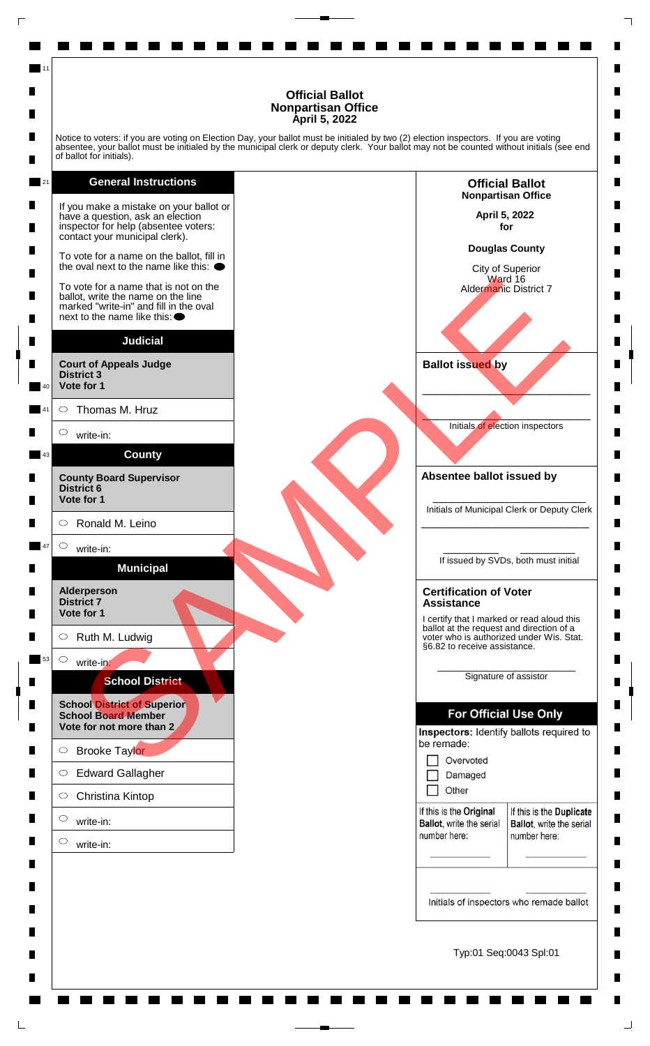Notice to voters: if you are voting on Election Day, your ballot must be initialed by two (2) election inspectors. If you are voting absentee, your ballot must be initialed by the municipal clerk or deputy clerk. Your ballot may not be counted without initials (see end of ballot for initials).

### **General Instructions**

11

![](_page_14_Figure_3.jpeg)

![](_page_14_Figure_4.jpeg)

п

П

 $\blacksquare$ 

П

п

П

П

п

п

П

 $\blacksquare$ 

 $\blacksquare$ 

п

ш

П

 $\blacksquare$ 

П

 $\blacksquare$ 

п

 $\blacksquare$ 

 $\blacksquare$ 

 $\blacksquare$ 

П

П

 $\blacksquare$ 

П

П

П

 $\blacksquare$ 

П

П

 $\blacksquare$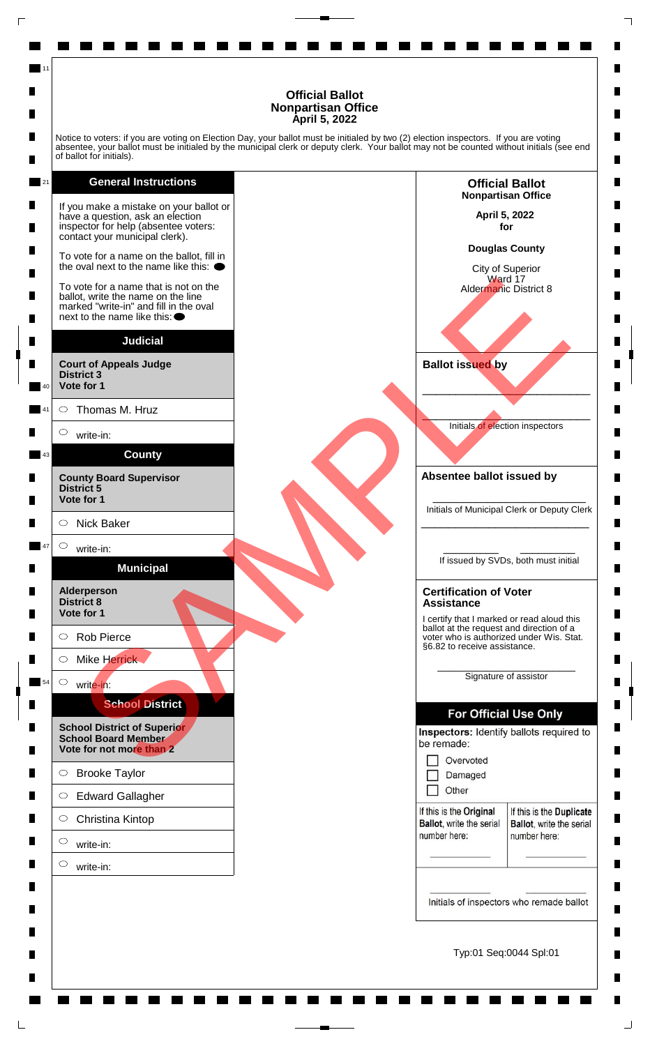Notice to voters: if you are voting on Election Day, your ballot must be initialed by two (2) election inspectors. If you are voting absentee, your ballot must be initialed by the municipal clerk or deputy clerk. Your ballot may not be counted without initials (see end of ballot for initials).

**General Instructions** 21 If you make a mistake on your ballot or have a question, ask an election inspector for help (absentee voters: contact your municipal clerk). To vote for a name on the ballot, fill in the oval next to the name like this:  $\bullet$ vole for a name on the line note of the same of the line of the same of the line of the same of the line of the<br>tid, with the name of the line of the same<br>interest and fill in the oval<br>strict 3 Thomas M. Hruz<br>write-in:<br>str To vote for a name that is not on the ballot, write the name on the line marked "write-in" and fill in the oval next to the name like this: **Judicial Court of Appeals Judge District 3 Vote for 1** 40  $\circ$ Thomas M. Hruz 41  $\circ$ write-in: **County** 43 **County Board Supervisor District 5 Vote for 1**  $\circ$ Nick Baker  $\bigcirc$ 47 write-in: **Municipal Alderperson District 8 Vote for 1**  $\circ$ Rob Pierce  $\circ$ Mike Herrick  $\circ$ write-in: 54 **School District School District of Superior School Board Member Vote for not more than 2**  $\circ$ Brooke Taylor  $\circ$ Edward Gallagher  $\circ$ Christina Kintop  $\circ$ write-in:  $\circ$ write-in:

11

![](_page_15_Figure_3.jpeg)

п

П

 $\blacksquare$ 

П

п

П

П

п

п

П

П

п

п

п

П

 $\blacksquare$ 

П

 $\blacksquare$ 

п

 $\blacksquare$ 

 $\blacksquare$ 

 $\blacksquare$ 

П

П

 $\blacksquare$ 

П

П

П

 $\blacksquare$ 

П

н

 $\blacksquare$ 

П

Typ:01 Seq:0044 Spl:01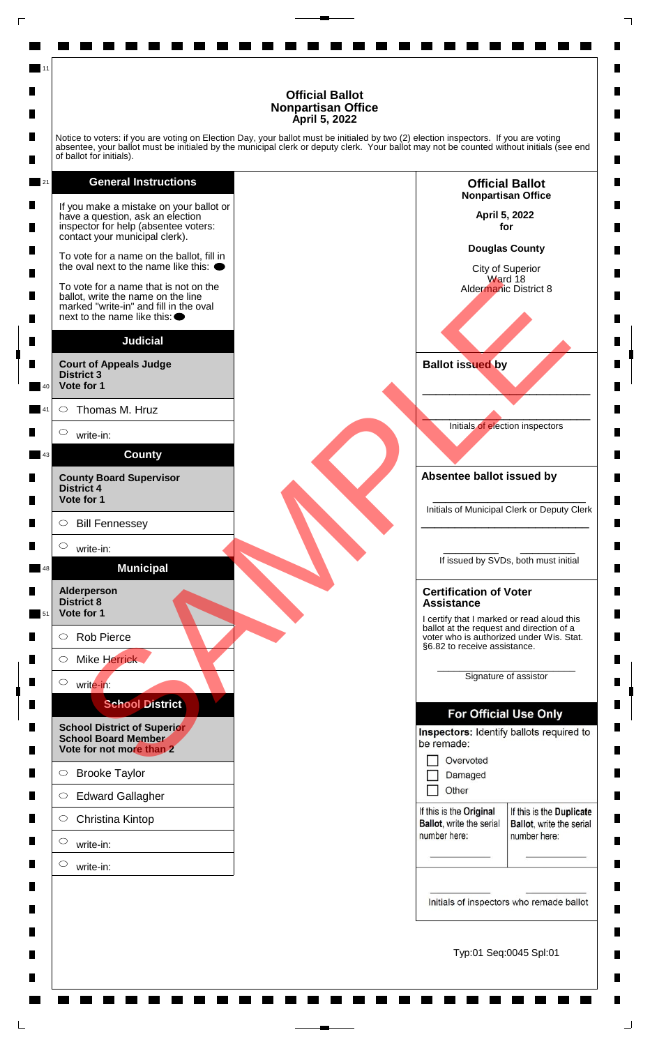Notice to voters: if you are voting on Election Day, your ballot must be initialed by two (2) election inspectors. If you are voting absentee, your ballot must be initialed by the municipal clerk or deputy clerk. Your ballot may not be counted without initials (see end of ballot for initials).

**General Instructions** 21 If you make a mistake on your ballot or have a question, ask an election inspector for help (absentee voters: contact your municipal clerk). To vote for a name on the ballot, fill in the oval next to the name like this:  $\bullet$ vole for a name on the line of a<br>
risk of write the name on the line<br>of the film the oval<br>tid, write the name on the line<br>of the film the oval<br>strict 4<br>state to film the oval<br>strict 4<br>state for 1<br>School District<br>interest<br>i To vote for a name that is not on the ballot, write the name on the line marked "write-in" and fill in the oval next to the name like this: **Judicial Court of Appeals Judge District 3 Vote for 1** 40  $\circ$ Thomas M. Hruz 41  $\circ$ write-in: **County** 43 **County Board Supervisor District 4 Vote for 1**  $\circ$ Bill Fennessey  $\circ$ write-in: **Municipal** 48 **Alderperson District 8 Vote for 1** 51  $\circ$ Rob Pierce  $\circ$ Mike Herrick  $\circ$ write-in: **School District School District of Superior School Board Member Vote for not more than 2**  $\circ$ Brooke Taylor  $\circ$ Edward Gallagher  $\circ$ Christina Kintop

11

write-in:

 $\circ$ 

 $\circ$ 

write-in:

![](_page_16_Figure_3.jpeg)

п

П

 $\blacksquare$ 

П

п

П

П

п

п

П

П

П

п

п

П

 $\blacksquare$ 

П

 $\blacksquare$ 

п

 $\blacksquare$ 

 $\blacksquare$ 

 $\blacksquare$ 

П

П

 $\blacksquare$ 

П

П

П

 $\blacksquare$ 

П

П

 $\blacksquare$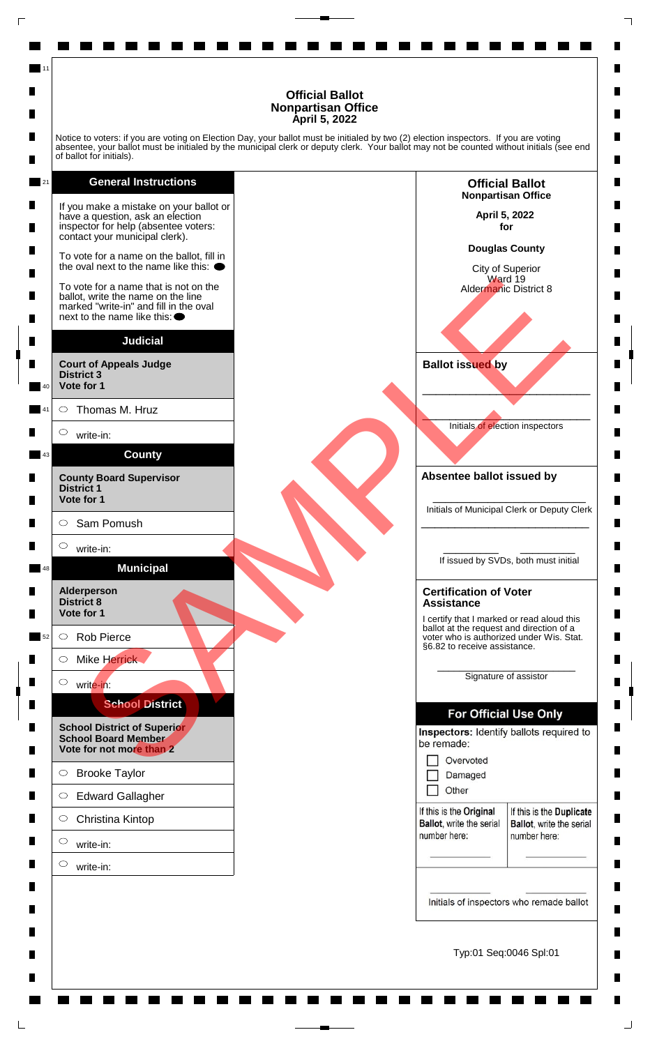Notice to voters: if you are voting on Election Day, your ballot must be initialed by two (2) election inspectors. If you are voting absentee, your ballot must be initialed by the municipal clerk or deputy clerk. Your ballot may not be counted without initials (see end of ballot for initials).

**General Instructions** 21 If you make a mistake on your ballot or have a question, ask an election inspector for help (absentee voters: contact your municipal clerk). To vote for a name on the ballot, fill in the oval next to the name like this:  $\bullet$ vole for a name on the line note of the same of the line of the same of the line of the same of the line of the<br>tax with the first and fill in the oval<br>state to the district of AMPLET Thomas M. Hruz<br>write-in:<br>strict 3<br>same To vote for a name that is not on the ballot, write the name on the line marked "write-in" and fill in the oval next to the name like this: **Judicial Court of Appeals Judge District 3 Vote for 1** 40  $\circ$ Thomas M. Hruz 41  $\circ$ write-in: **County** 43 **County Board Supervisor District 1 Vote for 1**  $\circ$ Sam Pomush  $\circ$ write-in: **Municipal** 48 **Alderperson District 8 Vote for 1**  $\circ$ Rob Pierce 52  $\circ$ Mike Herrick  $\circ$ write-in: **School District School District of Superior School Board Member Vote for not more than 2**  $\circ$ Brooke Taylor  $\circ$ Edward Gallagher  $\circ$ Christina Kintop  $\circ$ write-in:  $\circ$ write-in:

11

![](_page_17_Figure_3.jpeg)

п

П

 $\blacksquare$ 

П

П

П

П

п

п

П

П

П

п

п

П

 $\blacksquare$ 

П

 $\blacksquare$ 

п

 $\blacksquare$ 

 $\blacksquare$ 

 $\blacksquare$ 

П

П

 $\blacksquare$ 

П

П

П

 $\blacksquare$ 

П

П

 $\blacksquare$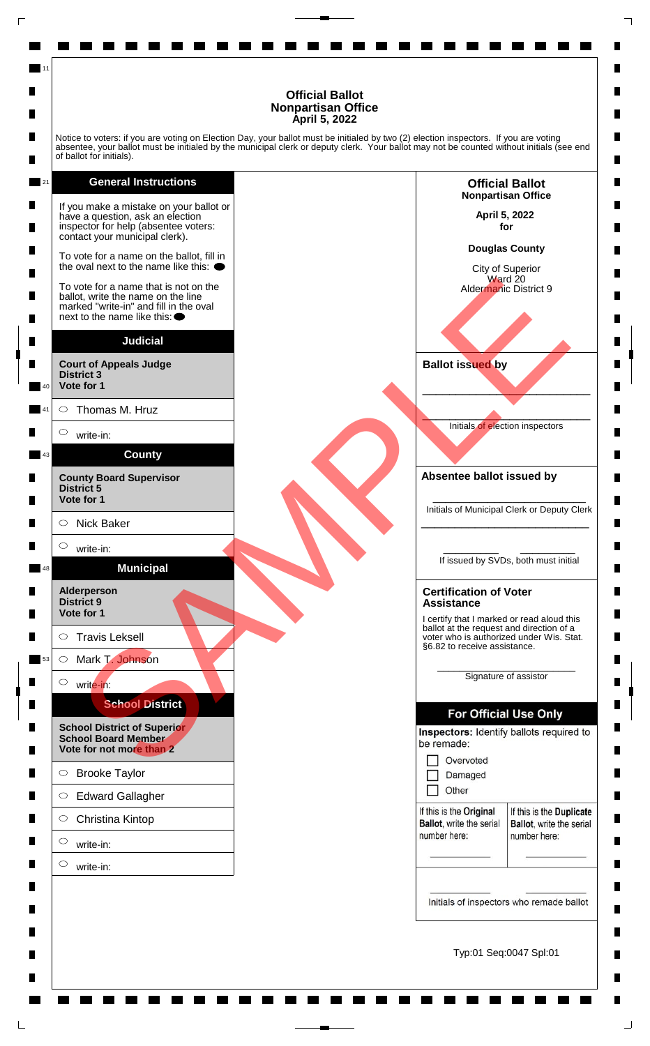п

П

 $\blacksquare$ 

П

П

П

П

п

п

П

П

П

п

п

П

 $\blacksquare$ 

П

 $\blacksquare$ 

п

 $\blacksquare$ 

 $\blacksquare$ 

 $\blacksquare$ 

П

П

 $\blacksquare$ 

П

П

П

 $\blacksquare$ 

П

н

 $\blacksquare$ 

П

Notice to voters: if you are voting on Election Day, your ballot must be initialed by two (2) election inspectors. If you are voting absentee, your ballot must be initialed by the municipal clerk or deputy clerk. Your ballot may not be counted without initials (see end of ballot for initials).

### **General Instructions**

11

![](_page_18_Figure_3.jpeg)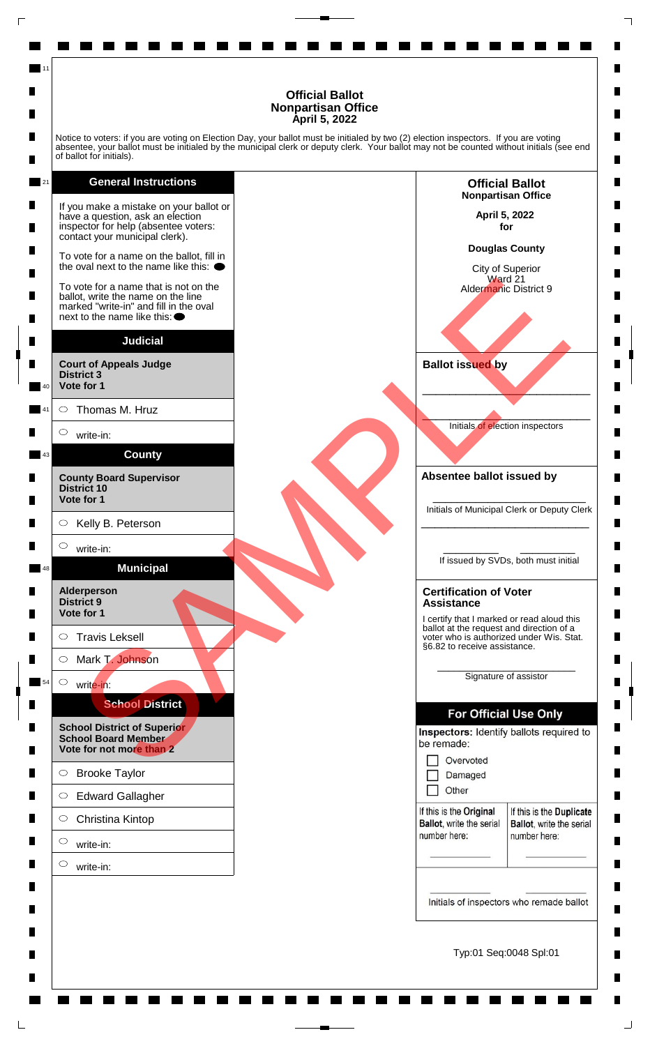Notice to voters: if you are voting on Election Day, your ballot must be initialed by two (2) election inspectors. If you are voting absentee, your ballot must be initialed by the municipal clerk or deputy clerk. Your ballot may not be counted without initials (see end of ballot for initials).

![](_page_19_Figure_2.jpeg)

11

![](_page_19_Figure_3.jpeg)

п

П

 $\blacksquare$ 

П

п

П

п

п

П

П

п

п

п

П

 $\blacksquare$ 

П

 $\blacksquare$ 

п

 $\blacksquare$ 

 $\blacksquare$ 

 $\blacksquare$ 

П

П

 $\blacksquare$ 

П

П

П

 $\blacksquare$ 

П

н

 $\blacksquare$ 

П

Typ:01 Seq:0048 Spl:01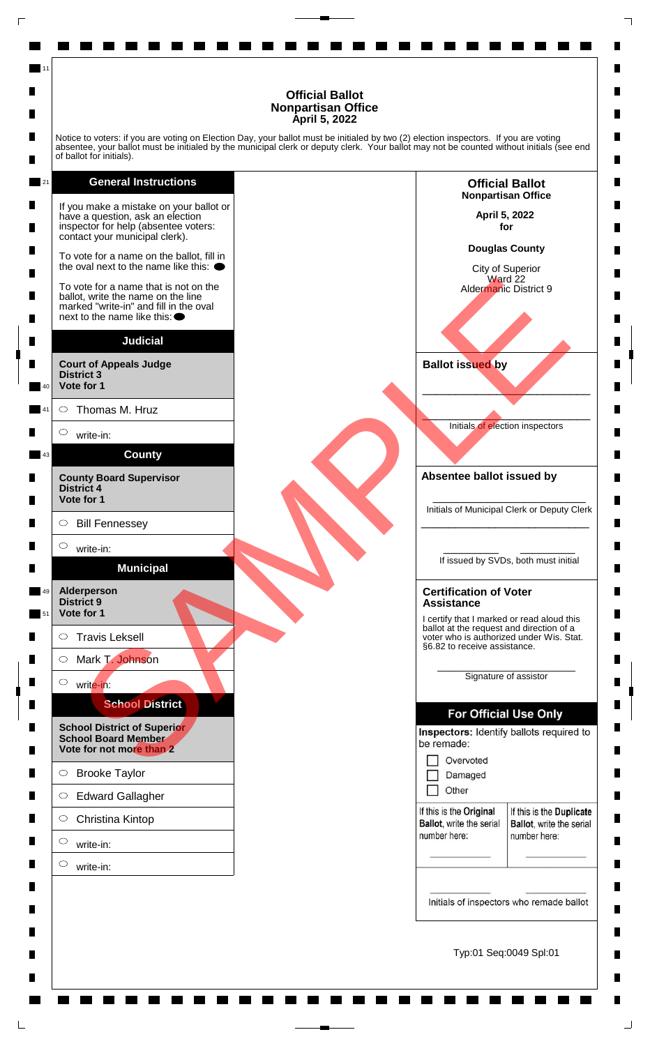Notice to voters: if you are voting on Election Day, your ballot must be initialed by two (2) election inspectors. If you are voting absentee, your ballot must be initialed by the municipal clerk or deputy clerk. Your ballot may not be counted without initials (see end of ballot for initials).

**General Instructions** 21 If you make a mistake on your ballot or have a question, ask an election inspector for help (absentee voters: contact your municipal clerk). To vote for a name on the ballot, fill in the oval next to the name like this:  $\bullet$ vole for a name on the line of a<br>
rice of a name on the line for a fill in the oval<br>et a behavior and fill in the oval<br>strict a<br>state of a<br>strict a<br>strict a<br>strict a<br>state of a<br>state of a state of a<br>state of a state of a<br>s To vote for a name that is not on the ballot, write the name on the line marked "write-in" and fill in the oval next to the name like this: **Judicial Court of Appeals Judge District 3 Vote for 1** 40  $\circ$ Thomas M. Hruz 41  $\circ$ write-in: **County** 43 **County Board Supervisor District 4 Vote for 1**  $\circ$ Bill Fennessey  $\circ$ write-in: **Municipal Alderperson** 49 **District 9 Vote for 1** 51  $\circ$ Travis Leksell  $\circ$ Mark T. Johnson  $\circ$ write-in: **School District School District of Superior School Board Member Vote for not more than 2**  $\circ$ Brooke Taylor  $\circ$ Edward Gallagher  $\circ$ Christina Kintop  $\circ$ write-in:  $\circ$ write-in:

11

![](_page_20_Figure_3.jpeg)

п

П

 $\blacksquare$ 

П

п

П

П

п

п

П

 $\blacksquare$ 

п

п

п

П

 $\blacksquare$ 

П

 $\blacksquare$ 

п

 $\blacksquare$ 

 $\blacksquare$ 

 $\blacksquare$ 

П

П

 $\blacksquare$ 

П

П

П

 $\blacksquare$ 

П

н

 $\blacksquare$ 

П

Typ:01 Seq:0049 Spl:01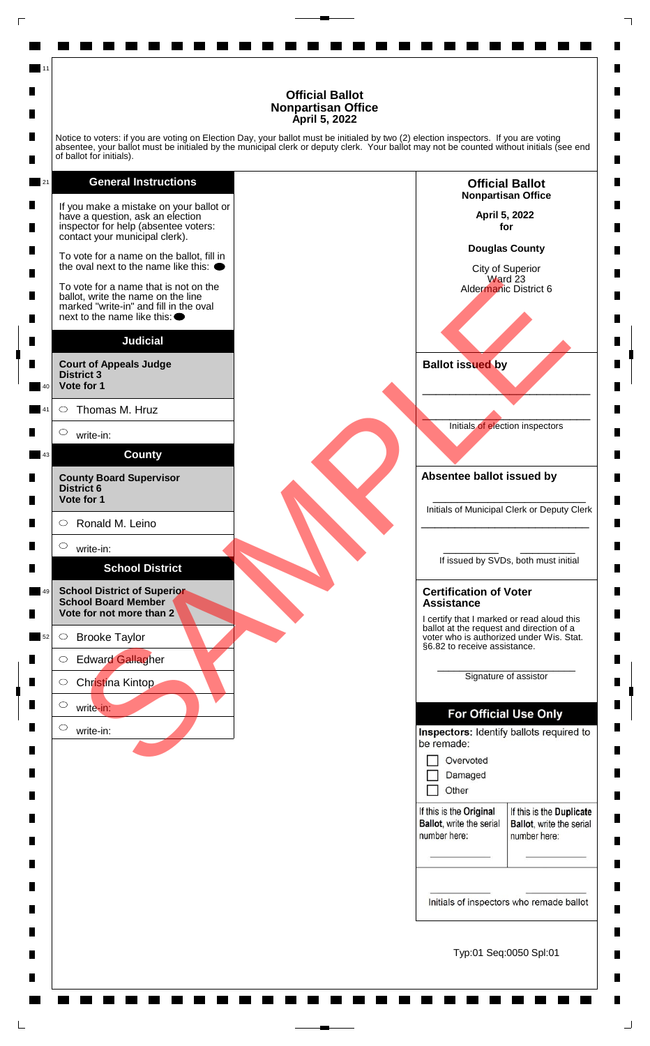Notice to voters: if you are voting on Election Day, your ballot must be initialed by two (2) election inspectors. If you are voting absentee, your ballot must be initialed by the municipal clerk or deputy clerk. Your ballot may not be counted without initials (see end of ballot for initials).

**General Instructions** 21 If you make a mistake on your ballot or have a question, ask an election inspector for help (absentee voters: contact your municipal clerk). To vote for a name on the ballot, fill in the oval next to the name like this:  $\bullet$ vole for a name on the line of a<br>
risk of write-in-<br>and file in the overall the same on the line<br>of the file of the same of the line<br>of the file of the same of the file<br>of the file of the same of Alther and Richards and th To vote for a name that is not on the ballot, write the name on the line marked "write-in" and fill in the oval next to the name like this: **Judicial Court of Appeals Judge District 3 Vote for 1** 40  $\circ$ Thomas M. Hruz 41  $\circ$ write-in: **County** 43 **County Board Supervisor District 6 Vote for 1**  $\circ$ Ronald M. Leino  $\circ$ write-in: **School District School District of Superior** 49

11

**School Board Member Vote for not more than 2**

 $\bigcirc$ Brooke Taylor 52

 $\circ$ Edward Gallagher

 $\circ$ Christina Kintop

write-in:

 $\circ$ write-in:

 $\circ$ 

**Nonpartisan Office April 5, 2022 for**

п

П

 $\blacksquare$ 

П

П

П

П

п

п

П

 $\blacksquare$ 

 $\blacksquare$ 

п

П

ш

П

 $\blacksquare$ 

П

 $\blacksquare$ 

п

 $\blacksquare$ 

 $\blacksquare$ 

 $\blacksquare$ 

П

П

 $\blacksquare$ 

П

П

 $\blacksquare$ 

 $\blacksquare$ 

П

П

 $\blacksquare$ 

П

**Douglas County**

**Official Ballot**

City of Superior Ward 23 Aldermanic District 6

**Ballot issued by**

 $\mathcal{L}$  and  $\mathcal{L}$  and  $\mathcal{L}$  and  $\mathcal{L}$ Initials of election inspectors

\_\_\_\_\_\_\_\_\_\_\_\_\_\_\_\_\_\_\_\_\_\_\_\_\_

**Absentee ballot issued by**

\_\_\_\_\_\_\_\_\_\_\_\_\_\_\_\_\_\_\_\_\_\_\_\_\_ Initials of Municipal Clerk or Deputy Clerk \_\_\_\_\_\_\_\_\_\_\_\_\_\_\_\_\_\_\_\_\_\_\_\_\_

\_\_\_\_\_\_\_\_\_ \_\_\_\_\_\_\_\_\_ If issued by SVDs, both must initial

### **Certification of Voter Assistance**

I certify that I marked or read aloud this ballot at the request and direction of a voter who is authorized under Wis. Stat. §6.82 to receive assistance.

> \_\_\_\_\_\_\_\_\_\_\_\_\_\_\_\_\_\_\_\_\_\_\_\_\_ Signature of assistor

| Overvoted |
|-----------|
|           |

П Other

If this is the Original Ballot, write the serial

number here:

If this is the Duplicate **Ballot**, write the serial number here:

Initials of inspectors who remade ballot

Typ:01 Seq:0050 Spl:01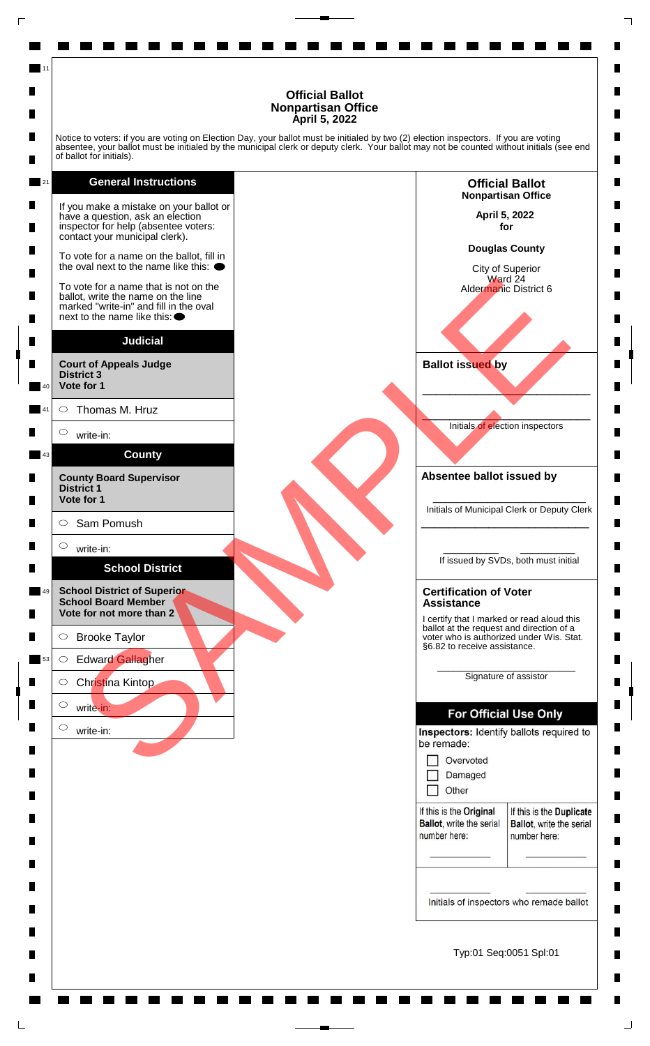Notice to voters: if you are voting on Election Day, your ballot must be initialed by two (2) election inspectors. If you are voting absentee, your ballot must be initialed by the municipal clerk or deputy clerk. Your ballot may not be counted without initials (see end of ballot for initials).

![](_page_22_Figure_2.jpeg)

11

![](_page_22_Figure_3.jpeg)

п

П

 $\blacksquare$ 

П

п

П

П

п

п

П

 $\blacksquare$ 

 $\blacksquare$ 

п

П

ш

П

 $\blacksquare$ 

П

 $\blacksquare$ 

п

 $\blacksquare$ 

 $\blacksquare$ 

 $\blacksquare$ 

П

П

 $\blacksquare$ 

П

П

П

 $\blacksquare$ 

П

П

 $\blacksquare$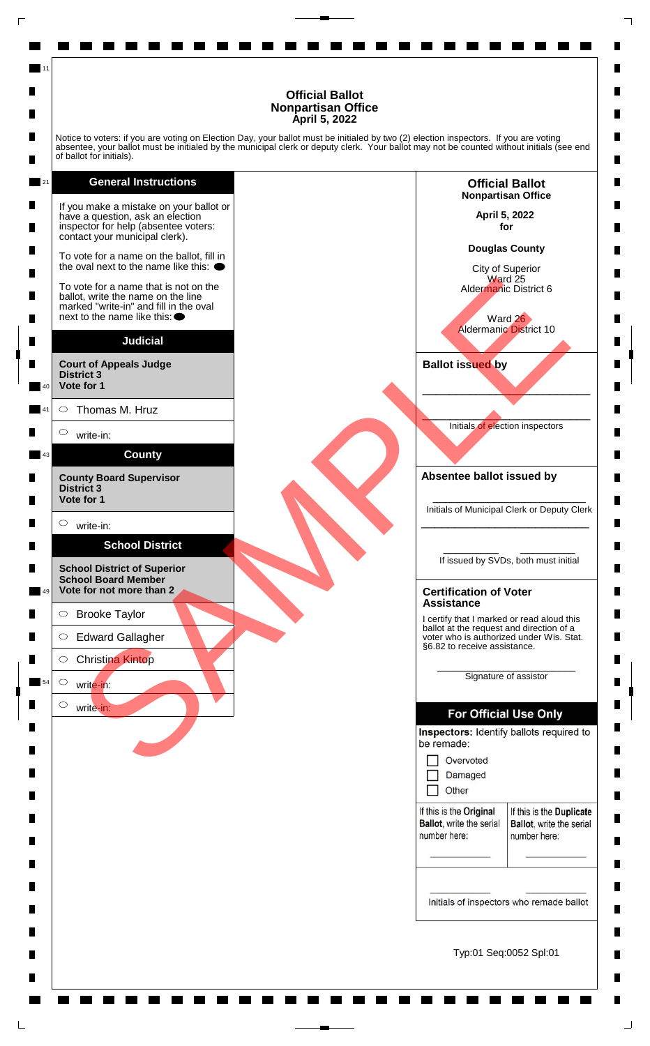п

П

 $\blacksquare$ 

П

П

п

П

п

П

 $\blacksquare$ 

 $\blacksquare$ 

 $\blacksquare$ 

П

П

ш

П

 $\blacksquare$ 

П

 $\blacksquare$ 

п

 $\blacksquare$ 

 $\blacksquare$ 

 $\blacksquare$ 

П

П

 $\blacksquare$ 

П

П

П

 $\blacksquare$ 

П

П

 $\blacksquare$ 

П

Notice to voters: if you are voting on Election Day, your ballot must be initialed by two (2) election inspectors. If you are voting absentee, your ballot must be initialed by the municipal clerk or deputy clerk. Your ballot may not be counted without initials (see end of ballot for initials).

### **General Instructions**

11

21

![](_page_23_Figure_3.jpeg)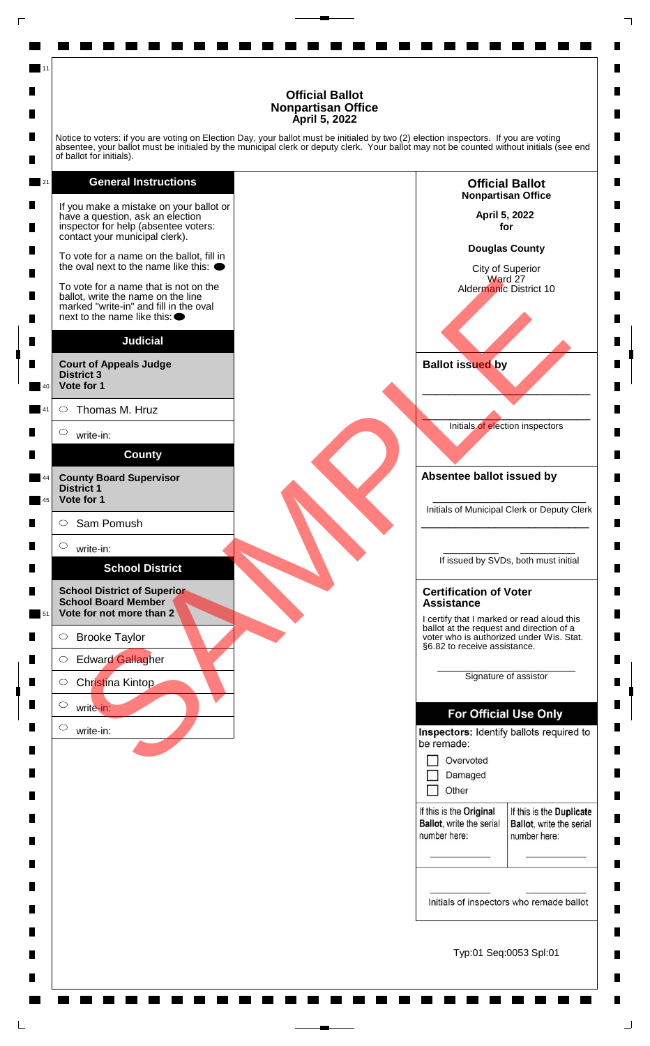Notice to voters: if you are voting on Election Day, your ballot must be initialed by two (2) election inspectors. If you are voting absentee, your ballot must be initialed by the municipal clerk or deputy clerk. Your ballot may not be counted without initials (see end of ballot for initials).

### **General Instructions**

11

21 If you make a mistake on your ballot or have a question, ask an election inspector for help (absentee voters: contact your municipal clerk). To vote for a name on the ballot, fill in the oval next to the name like this:  $\bullet$ To vote for a name that is not on the ballot, write the name on the line marked "write-in" and fill in the oval next to the name like this: **Judicial Court of Appeals Judge District 3 Vote for 1** 40  $\circ$ Thomas M. Hruz 41  $\circ$ write-in: **County County Board Supervisor** 44 **District 1 Vote for 1** 45

 $\circ$ Sam Pomush

 $\circ$ write-in:

### **School District**

**School District of Superior School Board Member Vote for not more than 2** 51

 $\bigcirc$ Brooke Taylor

 $\circ$ Edward Gallagher

 $\circ$ Christina Kintop

 $\circ$ write-in:

> $\circ$ write-in:

**Official Ballot Nonpartisan Office April 5, 2022 for Douglas County** City of Superior Ward 27 vole for a name on the line of a<br>
rice of a name on the line for a fill in the oval<br>etc. to the name on the line<br>of the fill in the oval<br>strict a<br>state of the same on the line<br>of the binary<br>strict of Appears and the same o Aldermanic District 10 **Ballot issued by** \_\_\_\_\_\_\_\_\_\_\_\_\_\_\_\_\_\_\_\_\_\_\_\_\_  $\mathcal{L}$  and  $\mathcal{L}$  and  $\mathcal{L}$  and  $\mathcal{L}$ Initials of election inspectors **Absentee ballot issued by** \_\_\_\_\_\_\_\_\_\_\_\_\_\_\_\_\_\_\_\_\_\_\_\_\_ Initials of Municipal Clerk or Deputy Clerk \_\_\_\_\_\_\_\_\_\_\_\_\_\_\_\_\_\_\_\_\_\_\_\_\_ \_\_\_\_\_\_\_\_\_ \_\_\_\_\_\_\_\_\_ If issued by SVDs, both must initial **Certification of Voter Assistance** I certify that I marked or read aloud this ballot at the request and direction of a voter who is authorized under Wis. Stat. §6.82 to receive assistance. \_\_\_\_\_\_\_\_\_\_\_\_\_\_\_\_\_\_\_\_\_\_\_\_\_ Signature of assistor Other П If this is the Original If this is the Duplicate Ballot, write the serial **Ballot**, write the serial number here: number here:

п

П

 $\blacksquare$ 

П

П

П

П

п

п

П

 $\blacksquare$ 

п

П

П

ш

П

 $\blacksquare$ 

П

 $\blacksquare$ 

п

 $\blacksquare$ 

 $\blacksquare$ 

 $\blacksquare$ 

П

П

 $\blacksquare$ 

П

П

П

 $\blacksquare$ 

П

П

 $\blacksquare$ 

П

Initials of inspectors who remade ballot

Typ:01 Seq:0053 Spl:01